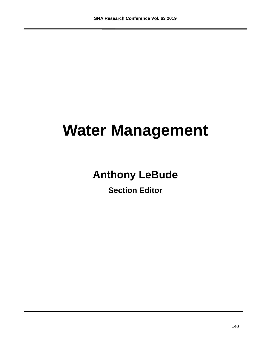# **Water Management**

## **Anthony LeBude**

**Section Editor**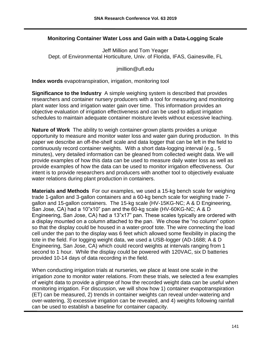### **Monitoring Container Water Loss and Gain with a Data-Logging Scale**

Jeff Million and Tom Yeager Dept. of Environmental Horticulture, Univ. of Florida, IFAS, Gainesville, FL

jmillion@ufl.edu

**Index words** evapotranspiration, irrigation, monitoring tool

**Significance to the Industry** A simple weighing system is described that provides researchers and container nursery producers with a tool for measuring and monitoring plant water loss and irrigation water gain over time. This information provides an objective evaluation of irrigation effectiveness and can be used to adjust irrigation schedules to maintain adequate container moisture levels without excessive leaching.

**Nature of Work** The ability to weigh container-grown plants provides a unique opportunity to measure and monitor water loss and water gain during production. In this paper we describe an off-the-shelf scale and data logger that can be left in the field to continuously record container weights. With a short data-logging interval (e.g., 5 minutes), very detailed information can be gleaned from collected weight data. We will provide examples of how this data can be used to measure daily water loss as well as provide examples of how the data can be used to monitor irrigation effectiveness. Our intent is to provide researchers and producers with another tool to objectively evaluate water relations during plant production in containers.

**Materials and Methods** For our examples, we used a 15-kg bench scale for weighing trade 1-gallon and 3-gallon containers and a 60-kg bench scale for weighing trade 7 gallon and 15-gallon containers. The 15-kg scale (HV-15KG-NC; A & D Engineering, San Jose, CA) had a 10"x10" pan and the 60-kg scale (HV-60KG-NC; A & D Engineering, San Jose, CA) had a 13"x17" pan. These scales typically are ordered with a display mounted on a column attached to the pan. We chose the "no column" option so that the display could be housed in a water-proof tote. The wire connecting the load cell under the pan to the display was 6 feet which allowed some flexibility in placing the tote in the field. For logging weight data, we used a USB-logger (AD-1688; A & D Engineering, San Jose, CA) which could record weights at intervals ranging from 1 second to 1 hour. While the display could be powered with 120VAC, six D batteries provided 10-14 days of data recording in the field.

When conducting irrigation trials at nurseries, we place at least one scale in the irrigation zone to monitor water relations. From these trials, we selected a few examples of weight data to provide a glimpse of how the recorded weight data can be useful when monitoring irrigation. For discussion, we will show how 1) container evapotranspiration (ET) can be measured, 2) trends in container weights can reveal under-watering and over-watering, 3) excessive irrigation can be revealed, and 4) weights following rainfall can be used to establish a baseline for container capacity.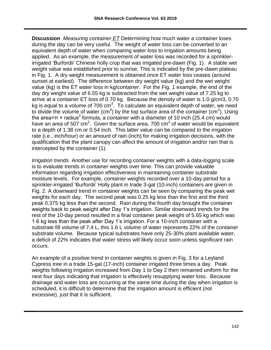**Discussion** *Measuring container ET* Determining how much water a container loses during the day can be very useful. The weight of water loss can be converted to an equivalent depth of water when comparing water loss to irrigation amounts being applied. As an example, the measurement of water loss was recorded for a sprinklerirrigated 'Burfordii' Chinese holly crop that was irrigated pre-dawn (Fig. 1). A stable wet weight value was established prior to sunrise. This is indicated by the pre-dawn plateau in Fig. 1. A dry weight measurement is obtained once ET water loss ceases (around sunset at earliest). The difference between dry weight value (kg) and the wet weight value (kg) is the ET water loss in kg/container. For the Fig. 1 example, the end of the day dry weight value of 6.55 kg is subtracted from the wet weight value of 7.25 kg to arrive at a container ET loss of 0.70 kg. Because the density of water is 1.0 g/cm3, 0.70 kg is equal to a volume of 700  $\text{cm}^3$ . To calculate an equivalent depth of water, we need to divide the volume of water (cm<sup>3</sup>) by the top surface area of the container (cm<sup>2</sup>). Using the area=π × radius<sup>2</sup> formula, a container with a diameter of 10 inch (25.4 cm) would have an area of 507 cm<sup>2</sup>. Given the surface area, 700 cm<sup>3</sup> of water would be equivalent to a depth of 1.38 cm or 0.54 inch. This latter value can be compared to the irrigation rate (i.e., inch/hour) or an amount of rain (inch) for making irrigation decisions, with the qualification that the plant canopy can affect the amount of irrigation and/or rain that is intercepted by the container (1).

*Irrigation trends* Another use for recording container weights with a data-logging scale is to evaluate trends in container weights over time. This can provide valuable information regarding irrigation effectiveness in maintaining container substrate moisture levels. For example, container weights recorded over a 10-day period for a sprinkler-irrigated 'Burfordii' Holly plant in trade 3-gal (10-inch) containers are given in Fig. 2. A downward trend in container weights can be seen by comparing the peak wet weights for each day. The second peak was 0.25 kg less than the first and the third peak 0.375 kg less than the second. Rain during the fourth day brought the container weights back to peak weight after Day 1's irrigation. Similar downward trends for the rest of the 10-day period resulted in a final container peak weight of 5.65 kg which was 1.6 kg less than the peak after Day 1's irrigation. For a 10-inch container with a substrate fill volume of 7.4 L, this 1.6 L volume of water represents 22% of the container substrate volume. Because typical substrates have only 25-30% plant available water, a deficit of 22% indicates that water stress will likely occur soon unless significant rain occurs.

An example of a positive trend in container weights is given in Fig. 3 for a Leyland Cypress tree in a trade 15-gal (17-inch) container irrigated three times a day. Peak weights following irrigation increased from Day 1 to Day 2 then remained uniform for the next four days indicating that irrigation is effectively resupplying water loss. Because drainage and water loss are occurring at the same time during the day when irrigation is scheduled, it is difficult to determine that the irrigation amount is efficient (not excessive), just that it is sufficient.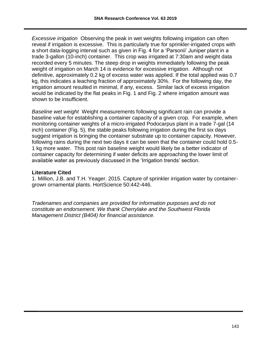*Excessive irrigation* Observing the peak in wet weights following irrigation can often reveal if irrigation is excessive. This is particularly true for sprinkler-irrigated crops with a short data-logging interval such as given in Fig. 4 for a 'Parsonii' Juniper plant in a trade 3-gallon (10-inch) container. This crop was irrigated at 7:30am and weight data recorded every 5 minutes. The steep drop in weights immediately following the peak weight of irrigation on March 14 is evidence for excessive irrigation. Although not definitive, approximately 0.2 kg of excess water was applied. If the total applied was 0.7 kg, this indicates a leaching fraction of approximately 30%. For the following day, the irrigation amount resulted in minimal, if any, excess. Similar lack of excess irrigation would be indicated by the flat peaks in Fig. 1 and Fig. 2 where irrigation amount was shown to be insufficient.

*Baseline wet weight* Weight measurements following significant rain can provide a baseline value for establishing a container capacity of a given crop. For example, when monitoring container weights of a micro-irrigated Podocarpus plant in a trade 7-gal (14 inch) container (Fig. 5), the stable peaks following irrigation during the first six days suggest irrigation is bringing the container substrate up to container capacity. However, following rains during the next two days it can be seen that the container could hold 0.5- 1 kg more water. This post rain baseline weight would likely be a better indicator of container capacity for determining if water deficits are approaching the lower limit of available water as previously discussed in the 'Irrigation trends' section.

#### **Literature Cited**

1. Million, J.B. and T.H. Yeager. 2015. Capture of sprinkler irrigation water by containergrown ornamental plants. HortScience 50:442-446.

*Tradenames and companies are provided for information purposes and do not constitute an endorsement. We thank Cherrylake and the Southwest Florida Management District (B404) for financial assistance.*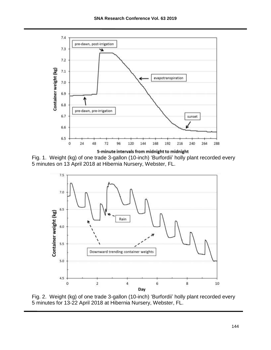

Fig. 1. Weight (kg) of one trade 3-gallon (10-inch) 'Burfordii' holly plant recorded every 5 minutes on 13 April 2018 at Hibernia Nursery, Webster, FL.



Fig. 2. Weight (kg) of one trade 3-gallon (10-inch) 'Burfordii' holly plant recorded every 5 minutes for 13-22 April 2018 at Hibernia Nursery, Webster, FL.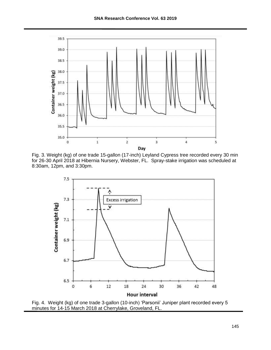





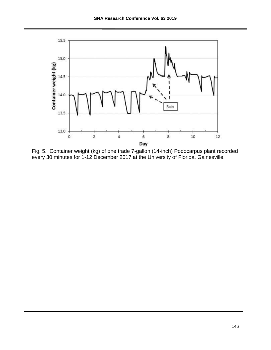

Fig. 5. Container weight (kg) of one trade 7-gallon (14-inch) Podocarpus plant recorded every 30 minutes for 1-12 December 2017 at the University of Florida, Gainesville.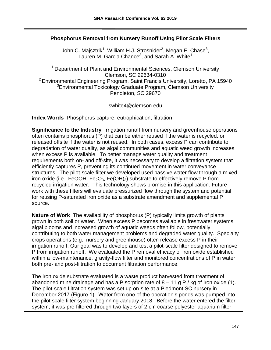### **Phosphorus Removal from Nursery Runoff Using Pilot Scale Filters**

John C. Majsztrik<sup>1</sup>, William H.J. Strosnider<sup>2</sup>, Megan E. Chase<sup>3</sup>, Lauren M. Garcia Chance<sup>3</sup>, and Sarah A. White<sup>1</sup>

 $1$  Department of Plant and Environmental Sciences, Clemson University Clemson, SC 29634-0310 <sup>2</sup> Environmental Engineering Program, Saint Francis University, Loretto, PA 15940 <sup>3</sup>Environmental Toxicology Graduate Program, Clemson University Pendleton, SC 29670

swhite4@clemson.edu

**Index Words** Phosphorus capture, eutrophication, filtration

**Significance to the Industry** Irrigation runoff from nursery and greenhouse operations often contains phosphorus (P) that can be either reused if the water is recycled, or released offsite if the water is not reused. In both cases, excess P can contribute to degradation of water quality, as algal communities and aquatic weed growth increases when excess P is available. To better manage water quality and treatment requirements both on- and off-site, it was necessary to develop a filtration system that efficiently captures P, preventing its continued movement in water conveyance structures. The pilot-scale filter we developed used passive water flow through a mixed iron oxide (i.e., FeOOH,  $Fe<sub>2</sub>O<sub>3</sub>$ , Fe(OH)<sub>3</sub>) substrate to effectively remove P from recycled irrigation water. This technology shows promise in this application. Future work with these filters will evaluate pressurized flow through the system and potential for reusing P-saturated iron oxide as a substrate amendment and supplemental P source.

**Nature of Work** The availability of phosphorus (P) typically limits growth of plants grown in both soil or water. When excess P becomes available in freshwater systems, algal blooms and increased growth of aquatic weeds often follow, potentially contributing to both water management problems and degraded water quality. Specialty crops operations (e.g., nursery and greenhouse) often release excess P in their irrigation runoff. Our goal was to develop and test a pilot-scale filter designed to remove P from irrigation runoff. We evaluated the P removal efficacy of iron oxide established within a low-maintenance, gravity-flow filter and monitored concentrations of P in water both pre- and post-filtration to document filtration performance.

The iron oxide substrate evaluated is a waste product harvested from treatment of abandoned mine drainage and has a P sorption rate of  $8 - 11$  g P / kg of iron oxide (1). The pilot-scale filtration system was set up on-site at a Piedmont SC nursery in December 2017 (Figure 1). Water from one of the operation's ponds was pumped into the pilot scale filter system beginning January 2018. Before the water entered the filter system, it was pre-filtered through two layers of 2 cm coarse polyester aquarium filter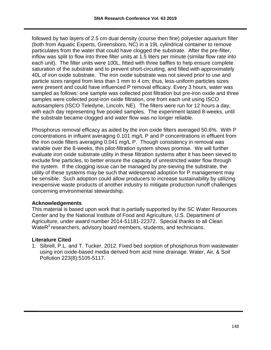followed by two layers of 2.5 cm dual density (course then fine) polyester aquarium filter (both from Aquatic Experts, Greensboro, NC) in a 19L cylindrical container to remove particulates from the water that could have clogged the substrate. After the pre-filter, inflow was split to flow into three filter units at 1.5 liters per minute (similar flow rate into each unit). The filter units were 100L, fitted with three baffles to help ensure complete saturation of the substrate and to prevent short-circuiting, and filled with approximately 40L of iron oxide substrate. The iron oxide substrate was not sieved prior to use and particle sizes ranged from less than 1 mm to 4 cm; thus, less-uniform particles sizes were present and could have influenced P removal efficacy. Every 3 hours, water was sampled as follows: one sample was collected post filtration but pre-iron oxide and three samples were collected post-iron oxide filtration, one from each unit using ISCO autosamplers (ISCO Teledyne, Lincoln, NE). The filters were run for 12 hours a day, with each day representing five pooled samples. The experiment lasted 8-weeks, until the substrate became clogged and water flow was no longer reliable.

Phosphorus removal efficacy as aided by the iron oxide filters averaged 50.6%. With P concentrations in influent averaging 0.101 mg/L P and P concentrations in effluent from the iron oxide filters averaging 0.041 mg/L P. Though consistency in removal was variable over the 8-weeks, this pilot-filtration system shows promise. We will further evaluate iron oxide substrate utility in these filtration systems after it has been sieved to exclude fine particles, to better ensure the capacity of unrestricted water flow through the system. If the clogging issue can be managed by pre-sieving the substrate, the utility of these systems may be such that widespread adoption for P management may be sensible. Such adoption could allow producers to increase sustainability by utilizing inexpensive waste products of another industry to mitigate production runoff challenges concerning environmental stewardship.

#### **Acknowledgements**

This material is based upon work that is partially supported by the SC Water Resources Center and by the National Institute of Food and Agriculture, U.S. Department of Agriculture, under award number 2014-51181-22372. Special thanks to all Clean Wate $R<sup>3</sup>$  researchers, advisory board members, students, and technicians.

### **Literature Cited**

1. Sibrell, P.L. and T. Tucker. 2012. Fixed bed sorption of phosphorus from wastewater using iron oxide-based media derived from acid mine drainage. Water, Air, & Soil Pollution 223(8):5105-5117.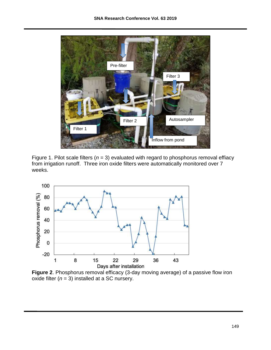

Figure 1. Pilot scale filters  $(n = 3)$  evaluated with regard to phosphorus removal effiacy from irrigation runoff. Three iron oxide filters were automatically monitored over 7 weeks.



**Figure 2**. Phosphorus removal efficacy (3-day moving average) of a passive flow iron oxide filter  $(n = 3)$  installed at a SC nursery.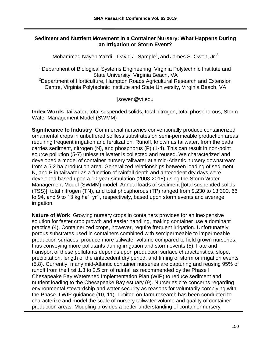#### **Sediment and Nutrient Movement in a Container Nursery: What Happens During an Irrigation or Storm Event?**

Mohammad Nayeb Yazdi<sup>1</sup>, David J. Sample<sup>1</sup>, and James S. Owen, Jr.<sup>2</sup>

<sup>1</sup>Department of Biological Systems Engineering, Virginia Polytechnic Institute and State University, Virginia Beach, VA

<sup>2</sup>Department of Horticulture, Hampton Roads Agricultural Research and Extension Centre, Virginia Polytechnic Institute and State University, Virginia Beach, VA

jsowen@vt.edu

**Index Words** tailwater, total suspended solids, total nitrogen, total phosphorous, Storm Water Management Model (SWMM)

**Significance to Industry** Commercial nurseries conventionally produce containerized ornamental crops in unbuffered soilless substrates on semi-permeable production areas requiring frequent irrigation and fertilization. Runoff, known as tailwater, from the pads carries sediment, nitrogen (N), and phosphorus (P) (1-4). This can result in non-point source pollution (5-7) unless tailwater is collected and reused. We characterized and developed a model of container nursery tailwater at a mid-Atlantic nursery downstream from a 5.2 ha production area. Generalized relationships between loading of sediment, N, and P in tailwater as a function of rainfall depth and antecedent dry days were developed based upon a 10-year simulation (2008-2018) using the Storm Water Management Model (SWMM) model. Annual loads of sediment [total suspended solids (TSS)], total nitrogen (TN), and total phosphorous (TP) ranged from 9,230 to 13,300, 66 to 94, and 9 to 13 kg⋅ha<sup>-1</sup>⋅yr<sup>-1</sup>, respectively, based upon storm events and average irrigation.

**Nature of Work** Growing nursery crops in containers provides for an inexpensive solution for faster crop growth and easier handling, making container use a dominant practice (4). Containerized crops, however, require frequent irrigation. Unfortunately, porous substrates used in containers combined with semipermeable to impermeable production surfaces, produce more tailwater volume compared to field grown nurseries, thus conveying more pollutants during irrigation and storm events (5). Fate and transport of these pollutants depends upon production surface characteristics, slope, precipitation, length of the antecedent dry period, and timing of storm or irrigation events (5,8). Currently, many mid-Atlantic container nurseries are capturing and reusing 95% of runoff from the first 1.3 to 2.5 cm of rainfall as recommended by the Phase I Chesapeake Bay Watershed Implementation Plan (WIP) to reduce sediment and nutrient loading to the Chesapeake Bay estuary (9). Nurseries cite concerns regarding environmental stewardship and water security as reasons for voluntarily complying with the Phase II WIP guidance (10, 11). Limited on-farm research has been conducted to characterize and model the scale of nursery tailwater volume and quality of container production areas. Modeling provides a better understanding of container nursery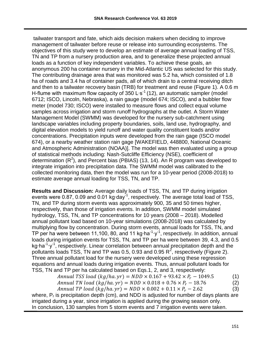tailwater transport and fate, which aids decision makers when deciding to improve management of tailwater before reuse or release into surrounding ecosystems. The objectives of this study were to develop an estimate of average annual loading of TSS, TN and TP from a nursery production area, and to generalize these projected annual loads as a function of key independent variables. To achieve these goals, an anonymous 200 ha container nursery in the Mid-Atlantic US was selected for this study. The contributing drainage area that was monitored was 5.2 ha, which consisted of 1.8 ha of roads and 3.4 ha of container pads, all of which drain to a central receiving ditch and then to a tailwater recovery basin (TRB) for treatment and reuse (Figure 1). A 0.6 m H-flume with maximum flow capacity of 350 L⋅s<sup>-1</sup> (12), an automatic sampler (model 6712; ISCO, Lincoln, Nebraska), a rain gauge (model 674; ISCO), and a bubbler flow meter (model 730; ISCO) were installed to measure flows and collect equal volume samples across irrigation and storm runoff hydrographs at the outlet. A Storm Water Management Model (SWMM) was developed for the nursery sub-catchment using landscape variables including property boundaries, soils, land use, hydrography, and digital elevation models to yield runoff and water quality constituent loads and/or concentrations. Precipitation inputs were developed from the rain gage (ISCO model 674), or a nearby weather station rain gage [WAKEFIELD, 448800, National Oceanic and Atmospheric Administration (NOAA)]. The model was then evaluated using a group of statistical methods including: Nash-Sutcliffe Efficiency (NSE), coefficient of determination  $(R^2)$ , and Percent bias (PBIAS) (13, 14). An R program was developed to integrate irrigation into precipitation data. The SWMM model was calibrated to the collected monitoring data, then the model was run for a 10-year period (2008-2018) to estimate average annual loading for TSS, TN, and TP.

**Results and Discussion:** Average daily loads of TSS, TN, and TP during irrigation events were 0.87, 0.09 and 0.01 kg⋅day-<sup>1</sup>, respectively. The average total load of TSS, TN, and TP during storm events was approximately 900, 35 and 50 times higher, respectively, than those of irrigation events. In addition, SWMM model simulated hydrology, TSS, TN, and TP concentrations for 10 years (2008 – 2018). Modelled annual pollutant load based on 10-year simulations (2008-2018) was calculated by multiplying flow by concentration. During storm events, annual loads for TSS, TN, and TP per ha were between 11,100, 80, and 11 kg⋅ha<sup>-1</sup>⋅y<sup>-1</sup>, respectively. In addition, annual loads during irrigation events for TSS, TN, and TP per ha were between 39, 4.3, and 0.5 kg⋅ha<sup>-1</sup>⋅y<sup>-1</sup>, respectively. Linear correlation between annual precipitation depth and the pollutants loads TSS, TN and TP was 0.5, 0.93 and 0.95  $R^2$ , respectively (Figure 2). Three annual pollutant load for the nursery were developed using these regression equations and annual loads during irrigation events. Thus, annual pollutant loads for TSS, TN and TP per ha calculated based on Eqs.1, 2, and 3, respectively:

*Annual TSS load (kg/ha.yr)* = 
$$
NDD \times 0.167 + 93.42 \times P_r - 1049.5
$$
 (1)  
*Annual TN load (kg/ha.yr)* =  $NDD \times 0.018 + 0.76 \times P_r - 18.76$  (2)

*Annual TP load* 
$$
(kg/ha. yr)
$$
 =  $NDD \times 0.002 + 0.11 \times P'_r - 2.62$  (3)

where, P<sub>r</sub> is precipitation depth (cm), and NDD is adjusted for number of days plants are irrigated during a year, since irrigation is applied during the growing season only. In conclusion, 130 samples from 5 storm events and 7 irrigation events were taken.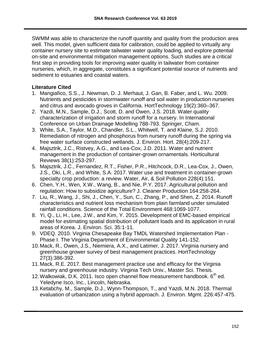SWMM was able to characterize the runoff quantity and quality from the production area well. This model, given sufficient data for calibration, could be applied to virtually any container nursery site to estimate tailwater water quality loading, and explore potential on-site and environmental mitigation management options. Such studies are a critical first step in providing tools for improving water quality in tailwater from container nurseries, which, in aggregate, constitutes a significant potential source of nutrients and sediment to estuaries and coastal waters.

#### **Literature Cited**

- 1. Mangiafico, S.S., J. Newman, D. J. Merhaut, J. Gan, B. Faber, and L. Wu. 2009. Nutrients and pesticides in stormwater runoff and soil water in production nurseries and citrus and avocado groves in California. HortTechnology 19(2):360–367.
- 2. Yazdi, M.N., Sample, D.J., Scott, D. and Owen, J.S. 2018. Water quality characterization of irrigation and storm runoff for a nursery. In International Conference on Urban Drainage Modelling 788-793. Springer, Cham.
- 3. White, S.A., Taylor, M.D., Chandler, S.L., Whitwell, T. and Klaine, S.J. 2010. Remediation of nitrogen and phosphorus from nursery runoff during the spring via free water surface constructed wetlands. J. Environ. Hort. 28(4):209-217.
- 4. Majsztrik, J.C., Ristvey, A.G., and Lea-Cox, J.D. 2011. Water and nutrient management in the production of container-grown ornamentals. Horticultural Reviews 38(1):253-297.
- 5. Majsztrik, J.C., Fernandez, R.T., Fisher, P.R., Hitchcock, D.R., Lea-Cox, J., Owen, J.S., Oki, L.R., and White, S.A. 2017. Water use and treatment in container-grown specialty crop production: a review. Water, Air, & Soil Pollution 228(4):151.
- 6. Chen, Y.H., Wen, X.W., Wang, B., and Nie, P.Y. 2017. Agricultural pollution and regulation: How to subsidize agriculture? J. Cleaner Production 164:258-264.
- 7. Liu, R., Wang, J., Shi, J., Chen, Y., Sun, C., Zhang, P., and Shen, Z. 2014. Runoff characteristics and nutrient loss mechanism from plain farmland under simulated rainfall conditions. Science of the Total Environment 468:1069-1077.
- 8. Yi, Q., Li, H., Lee, J.W., and Kim, Y. 2015. Development of EMC-based empirical model for estimating spatial distribution of pollutant loads and its application in rural areas of Korea. J. Environ. Sci. 35:1-11.
- 9. VDEQ. 2010. Virginia Chesapeake Bay TMDL Watershed Implementation Plan Phase I. The Virginia Department of Environmental Quality 141-152.
- 10.Mack, R., Owen, J.S., Niemiera, A.X., and Latimer, J. 2017. Virginia nursery and greenhouse grower survey of best management practices. HortTechnology 27(3):386-392.
- 11.Mack, R.E. 2017. Best management practice use and efficacy for the Virginia nursery and greenhouse industry. Virginia Tech Univ., Master Sci. Thesis.
- 12. Walkowiak, D.K. 2011. Isco open channel flow measurement handbook.  $6<sup>th</sup>$  ed. Yeledyne Isco, Inc., Lincoln, Nebraska.
- 13.Ketabchy, M., Sample, D.J., Wynn-Thompson, T., and Yazdi, M.N. 2018. Thermal evaluation of urbanization using a hybrid approach. J. Environ. Mgmt. 226:457-475.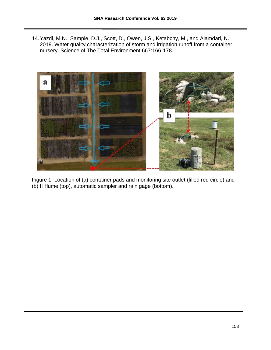14.Yazdi, M.N., Sample, D.J., Scott, D., Owen, J.S., Ketabchy, M., and Alamdari, N. 2019. Water quality characterization of storm and irrigation runoff from a container nursery. Science of The Total Environment 667:166-178.



Figure 1. Location of (a) container pads and monitoring site outlet (filled red circle) and (b) H flume (top), automatic sampler and rain gage (bottom).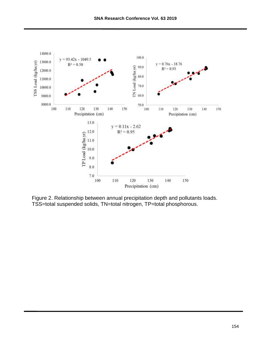

Figure 2. Relationship between annual precipitation depth and pollutants loads. TSS=total suspended solids, TN=total nitrogen, TP=total phosphorous.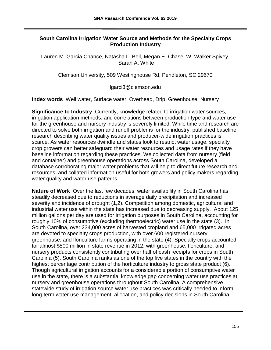#### **South Carolina Irrigation Water Source and Methods for the Specialty Crops Production Industry**

Lauren M. Garcia Chance, Natasha L. Bell, Megan E. Chase, W. Walker Spivey, Sarah A. White

Clemson University, 509 Westinghouse Rd, Pendleton, SC 29670

lgarci3@clemson.edu

**Index words** Well water, Surface water, Overhead, Drip, Greenhouse, Nursery

**Significance to Industry** Currently, knowledge related to irrigation water sources, irrigation application methods, and correlations between production type and water use for the greenhouse and nursery industry is severely limited. While time and research are directed to solve both irrigation and runoff problems for the industry, published baseline research describing water quality issues and producer-wide irrigation practices is scarce. As water resources dwindle and states look to restrict water usage, specialty crop growers can better safeguard their water resources and usage rates if they have baseline information regarding these practices. We collected data from nursery (field and container) and greenhouse operations across South Carolina, developed a database corroborating major water problems that will help to direct future research and resources, and collated information useful for both growers and policy makers regarding water quality and water use patterns.

**Nature of Work** Over the last few decades, water availability in South Carolina has steadily decreased due to reductions in average daily precipitation and increased severity and incidence of drought (1,2). Competition among domestic, agricultural and industrial water use within the state has increased due to decreasing supply. About 125 million gallons per day are used for irrigation purposes in South Carolina, accounting for roughly 10% of consumptive (excluding thermoelectric) water use in the state (3). In South Carolina, over 234,000 acres of harvested cropland and 65,000 irrigated acres are devoted to specialty crops production, with over 600 registered nursery, greenhouse, and floriculture farms operating in the state (4). Specialty crops accounted for almost \$500 million in state revenue in 2012, with greenhouse, floriculture, and nursery products consistently contributing over half of cash receipts for crops in South Carolina (5). South Carolina ranks as one of the top five states in the country with the highest percentage contribution of the horticulture industry to gross state product (6). Though agricultural irrigation accounts for a considerable portion of consumptive water use in the state, there is a substantial knowledge gap concerning water use practices at nursery and greenhouse operations throughout South Carolina. A comprehensive statewide study of irrigation source water use practices was critically needed to inform long-term water use management, allocation, and policy decisions in South Carolina.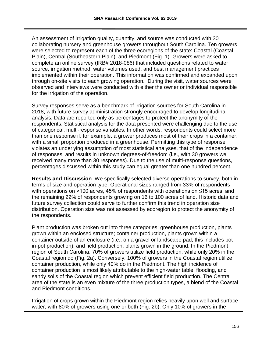An assessment of irrigation quality, quantity, and source was conducted with 30 collaborating nursery and greenhouse growers throughout South Carolina. Ten growers were selected to represent each of the three ecoregions of the state: Coastal (Coastal Plain), Central (Southeastern Plain), and Piedmont (Fig. 1). Growers were asked to complete an online survey (IRB# 2018-086) that included questions related to water source, irrigation method, water volumes used, and best management practices implemented within their operation. This information was confirmed and expanded upon through on-site visits to each growing operation. During the visit, water sources were observed and interviews were conducted with either the owner or individual responsible for the irrigation of the operation.

Survey responses serve as a benchmark of irrigation sources for South Carolina in 2018, with future survey administration strongly encouraged to develop longitudinal analysis. Data are reported only as percentages to protect the anonymity of the respondents. Statistical analysis for the data presented were challenging due to the use of categorical, multi-response variables. In other words, respondents could select more than one response if, for example, a grower produces most of their crops in a container, with a small proportion produced in a greenhouse. Permitting this type of response violates an underlying assumption of most statistical analyses, that of the independence of responses, and results in unknown degrees-of-freedom (i.e., with 30 growers we received many more than 30 responses). Due to the use of multi-response questions, percentages discussed within this study can equal greater than one hundred percent.

**Results and Discussion** We specifically selected diverse operations to survey, both in terms of size and operation type. Operational sizes ranged from 33% of respondents with operations on >100 acres, 45% of respondents with operations on ≤15 acres, and the remaining 22% of respondents growing on 16 to 100 acres of land. Historic data and future survey collection could serve to further confirm this trend in operation size distribution. Operation size was not assessed by ecoregion to protect the anonymity of the respondents.

Plant production was broken out into three categories: greenhouse production, plants grown within an enclosed structure; container production, plants grown within a container outside of an enclosure (i.e., on a gravel or landscape pad; this includes potin-pot production); and field production, plants grown in the ground. In the Piedmont region of South Carolina, 70% of growers utilize field production, while only 20% in the Coastal region do (Fig. 2a). Conversely, 100% of growers in the Coastal region utilize container production, while only 40% do in the Piedmont. The high incidence of container production is most likely attributable to the high-water table, flooding, and sandy soils of the Coastal region which prevent efficient field production. The Central area of the state is an even mixture of the three production types, a blend of the Coastal and Piedmont conditions.

Irrigation of crops grown within the Piedmont region relies heavily upon well and surface water, with 80% of growers using one or both (Fig. 2b). Only 10% of growers in the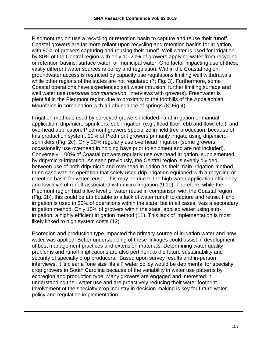Piedmont region use a recycling or retention basin to capture and reuse their runoff. Coastal growers are far more reliant upon recycling and retention basins for irrigation, with 80% of growers capturing and reusing their runoff. Well water is used for irrigation by 80% of the Central region with only 10-20% of growers applying water from recycling or retention basins, surface water, or municipal water. One factor impacting use of these vastly different water sources is policy and regulation. Within the Coastal region, groundwater access is restricted by capacity use regulations limiting well withdrawals while other regions of the states are not regulated (7; Fig. 3). Furthermore, some Coastal operations have experienced salt water intrusion, further limiting surface and well water use (*personal communication*, interviews with growers). Freshwater is plentiful in the Piedmont region due to proximity to the foothills of the Appalachian Mountains in combination with an abundance of springs (8: Fig 4).

Irrigation methods used by surveyed growers included hand irrigation or manual application, drip/micro-sprinklers, sub-irrigation (e.g., flood floor, ebb and flow, etc.), and overhead application. Piedmont growers specialize in field tree production; because of this production system, 90% of Piedmont growers primarily irrigate using drip/microsprinklers (Fig. 2c). Only 30% regularly use overhead irrigation (some growers occasionally use overhead in holding bays prior to shipment and are not included). Conversely, 100% of Coastal growers regularly use overhead irrigation, supplemented by drip/micro-irrigation. As seen previously, the Central region is evenly divided between use of both drip/micro and overhead irrigation as their main irrigation method. In no case was an operation that solely used drip irrigation equipped with a recycling or retention basin for water reuse. This may be due to the high water application efficiency and low level of runoff associated with micro-irrigation (9,10). Therefore, while the Piedmont region had a low level of water reuse in comparison with the Coastal region (Fig. 2b), this could be attributable to a lack of water runoff to capture and reuse. Hand irrigation is used in 50% of operations within the state, but in all cases, was a secondary irrigation method. Only 10% of growers within the state, applied water using subirrigation, a highly efficient irrigation method (11). This lack of implementation is most likely linked to high system costs (12).

Ecoregion and production type impacted the primary source of irrigation water and how water was applied. Better understanding of these linkages could assist in development of best management practices and extension materials. Determining water quality problems and runoff implications are also pertinent to the future sustainability and security of specialty crop producers. Based upon survey results and in-person interviews, it is clear a "one size fits all" water policy would be detrimental for specialty crop growers in South Carolina because of the variability in water use patterns by ecoregion and production type. Many growers are engaged and interested in understanding their water use and are proactively reducing their water footprint. Involvement of the specialty crop industry in decision-making is key for future water policy and regulation implementation.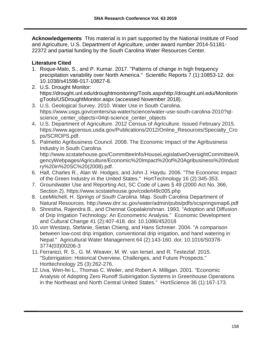**Acknowledgements** This material is in part supported by the National Institute of Food and Agriculture, U.S. Department of Agriculture, under award number 2014-51181- 22372 and partial funding by the South Carolina Water Resources Center.

### **Literature Cited**

- 1. Roque-Malo, S., and P. Kumar. 2017. "Patterns of change in high frequency precipitation variability over North America." Scientific Reports 7 (1):10853-12. doi: 10.1038/s41598-017-10827-8.
- 2. U.S. Drought Monitor: https://drought.unl.edu/droughtmonitoring/Tools.asp[xhttp://drought.unl.edu/Monitorin](http://drought.unl.edu/MonitoringTools/USDroughtMonitor.aspx) [gTools/USDroughtMonitor.aspx](http://drought.unl.edu/MonitoringTools/USDroughtMonitor.aspx) (accessed November 2018).
- 3. U.S. Geological Survey. 2010. Water Use in South Carolina. [https://www.usgs.gov/centers/sa-water/science/water-use-south-carolina-2010?qt](https://www.usgs.gov/centers/sa-water/science/water-use-south-carolina-2010?qt-science_center_objects=0#qt-science_center_objects)[science\\_center\\_objects=0#qt-science\\_center\\_objects](https://www.usgs.gov/centers/sa-water/science/water-use-south-carolina-2010?qt-science_center_objects=0#qt-science_center_objects)
- 4. U.S. Department of Agriculture. 2012 Census of Agriculture. Issued February 2015. [https://www.agcensus.usda.gov/Publications/2012/Online\\_Resources/Specialty\\_Cro](https://www.agcensus.usda.gov/Publications/2012/Online_Resources/Specialty_Crops/SCROPS.pdf) [ps/SCROPS.pdf.](https://www.agcensus.usda.gov/Publications/2012/Online_Resources/Specialty_Crops/SCROPS.pdf)
- 5. Palmetto Agribusiness Council. 2008. The Economic Impact of the Agribusiness Industry in South Carolina. [http://www.scstatehouse.gov/CommitteeInfo/HouseLegislativeOversightCommittee/A](http://www.scstatehouse.gov/CommitteeInfo/HouseLegislativeOversightCommittee/AgencyWebpages/Agriculture/Economic%20Impact%20of%20Agribusiness%20Industry%20in%20SC%20(2008).pdf) [gencyWebpages/Agriculture/Economic%20Impact%20of%20Agribusiness%20Indust](http://www.scstatehouse.gov/CommitteeInfo/HouseLegislativeOversightCommittee/AgencyWebpages/Agriculture/Economic%20Impact%20of%20Agribusiness%20Industry%20in%20SC%20(2008).pdf) [ry%20in%20SC%20\(2008\).pdf.](http://www.scstatehouse.gov/CommitteeInfo/HouseLegislativeOversightCommittee/AgencyWebpages/Agriculture/Economic%20Impact%20of%20Agribusiness%20Industry%20in%20SC%20(2008).pdf)
- 6. Hall, Charles R., Alan W. Hodges, and John J. Haydu. 2006. "The Economic Impact of the Green Industry in the United States." HortTechnology 16 (2):345-353.
- 7. Groundwater Use and Reporting Act, SC Code of Laws § 49 (2000 Act No. 366, Section 2). https://www.scstatehouse.gov/code/t49c005.php
- 8. LeeMitchell, H. *Springs of South Carolina*. Map. South Carolina Department of Natural Resources. http://www.dnr.sc.gov/water/admin/pubs/pdfs/scspringsmap6.pdf
- 9. Shrestha, Rajendra B., and Chennat Gopalakrishnan. 1993. "Adoption and Diffusion of Drip Irrigation Technology: An Econometric Analysis." Economic Development and Cultural Change 41 (2):407-418. doi: 10.1086/452018
- 10.von Westarp, Stefanie, Sietan Chieng, and Hans Schreier. 2004. "A comparison between low-cost drip irrigation, conventional drip irrigation, and hand watering in Nepal." Agricultural Water Management 64 (2):143-160. doi: 10.1016/S0378- 3774(03)00206-3
- 11.Ferrarezi, R. S., G. M. Weaver, M. W. van IerseI, and R. Testezlaf. 2015. "Subirrigation: Historical Overview, Challenges, and Future Prospects." Horttechnology 25 (3):262-276.
- 12.Uva, Wen-fei L., Thomas C. Weiler, and Robert A. Milligan. 2001. "Economic Analysis of Adopting Zero Runoff Subirrigation Systems in Greenhouse Operations in the Northeast and North Central United States." HortScience 36 (1):167-173.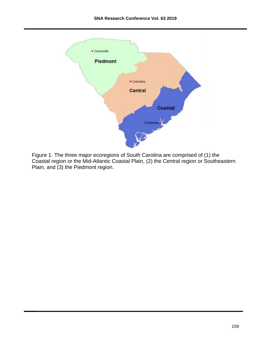

Figure 1. The three major ecoregions of South Carolina are comprised of (1) the Coastal region or the Mid-Atlantic Coastal Plain, (2) the Central region or Southeastern Plain, and (3) the Piedmont region.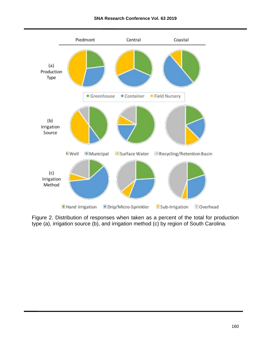#### **SNA Research Conference Vol. 63 2019**



Figure 2. Distribution of responses when taken as a percent of the total for production type (a), irrigation source (b), and irrigation method (c) by region of South Carolina.